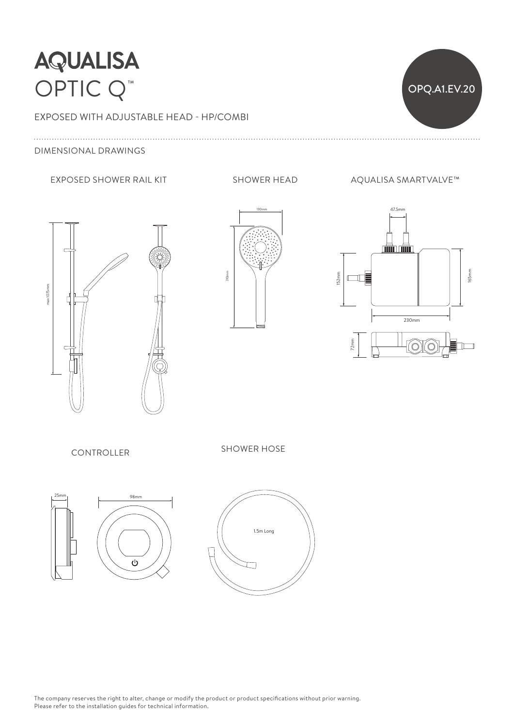



## DIMENSIONAL DRAWINGS

### EXPOSED SHOWER RAIL KIT SHOWER HEAD AQUALISA SMARTVALVE™







CONTROLLER

SHOWER HOSE